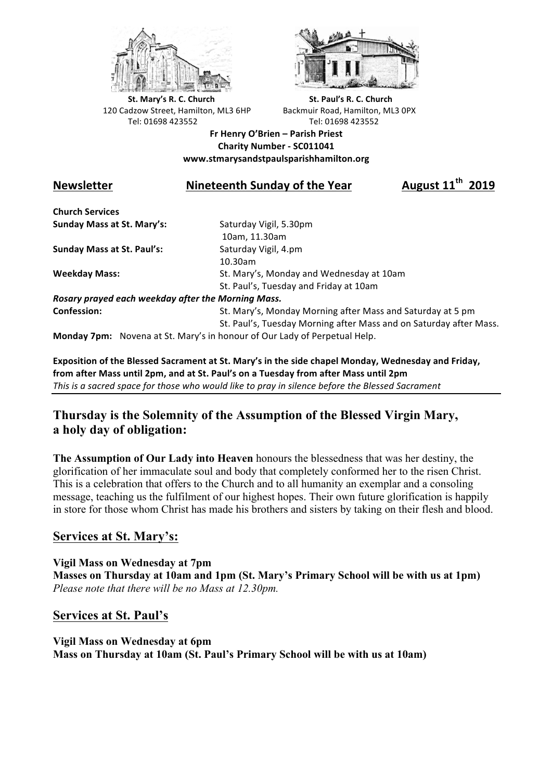



**St.** Mary's R. C. Church St. Paul's R. C. Church 120 Cadzow Street, Hamilton, ML3 6HP Backmuir Road, Hamilton, ML3 0PX Tel: 01698 423552 Tel: 01698 423552

**Fr Henry O'Brien – Parish Priest Charity Number - SC011041 www.stmarysandstpaulsparishhamilton.org**

# **Newsletter Nineteenth Sunday of the Year August 11th 2019**

**Church Services Sunday Mass at St. Mary's:** Saturday Vigil, 5.30pm

**Sunday Mass at St. Paul's:** Saturday Vigil, 4.pm

 10am, 11.30am 10.30am **Weekday Mass:** St. Mary's, Monday and Wednesday at 10am St. Paul's, Tuesday and Friday at 10am

*Rosary prayed each weekday after the Morning Mass.* **Confession:** St. Mary's, Monday Morning after Mass and Saturday at 5 pm

St. Paul's, Tuesday Morning after Mass and on Saturday after Mass.

**Monday 7pm:** Novena at St. Mary's in honour of Our Lady of Perpetual Help.

Exposition of the Blessed Sacrament at St. Mary's in the side chapel Monday, Wednesday and Friday, from after Mass until 2pm, and at St. Paul's on a Tuesday from after Mass until 2pm This is a sacred space for those who would like to pray in silence before the Blessed Sacrament

## **Thursday is the Solemnity of the Assumption of the Blessed Virgin Mary, a holy day of obligation:**

**The Assumption of Our Lady into Heaven** honours the blessedness that was her destiny, the glorification of her immaculate soul and body that completely conformed her to the risen Christ. This is a celebration that offers to the Church and to all humanity an exemplar and a consoling message, teaching us the fulfilment of our highest hopes. Their own future glorification is happily in store for those whom Christ has made his brothers and sisters by taking on their flesh and blood.

## **Services at St. Mary's:**

**Vigil Mass on Wednesday at 7pm Masses on Thursday at 10am and 1pm (St. Mary's Primary School will be with us at 1pm)** *Please note that there will be no Mass at 12.30pm.*

### **Services at St. Paul's**

**Vigil Mass on Wednesday at 6pm Mass on Thursday at 10am (St. Paul's Primary School will be with us at 10am)**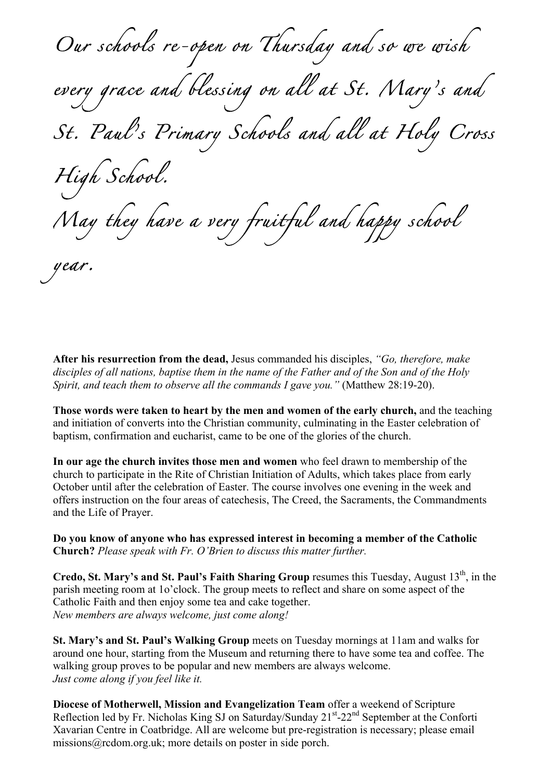*Our schools re-open on Thursday and so we wish every grace and blessing on all at St. Mary's and St. Paul's Primary Schools and all at Holy Cross High School. May they have a very fruitful and happy school year.* 

**After his resurrection from the dead,** Jesus commanded his disciples, *"Go, therefore, make disciples of all nations, baptise them in the name of the Father and of the Son and of the Holy Spirit, and teach them to observe all the commands I gave you."* (Matthew 28:19-20).

**Those words were taken to heart by the men and women of the early church,** and the teaching and initiation of converts into the Christian community, culminating in the Easter celebration of baptism, confirmation and eucharist, came to be one of the glories of the church.

**In our age the church invites those men and women** who feel drawn to membership of the church to participate in the Rite of Christian Initiation of Adults, which takes place from early October until after the celebration of Easter. The course involves one evening in the week and offers instruction on the four areas of catechesis, The Creed, the Sacraments, the Commandments and the Life of Prayer.

**Do you know of anyone who has expressed interest in becoming a member of the Catholic Church?** *Please speak with Fr. O'Brien to discuss this matter further.*

**Credo, St. Mary's and St. Paul's Faith Sharing Group** resumes this Tuesday, August 13<sup>th</sup>, in the parish meeting room at 1o'clock. The group meets to reflect and share on some aspect of the Catholic Faith and then enjoy some tea and cake together. *New members are always welcome, just come along!*

**St. Mary's and St. Paul's Walking Group** meets on Tuesday mornings at 11am and walks for around one hour, starting from the Museum and returning there to have some tea and coffee. The walking group proves to be popular and new members are always welcome. *Just come along if you feel like it.*

**Diocese of Motherwell, Mission and Evangelization Team** offer a weekend of Scripture Reflection led by Fr. Nicholas King SJ on Saturday/Sunday 21<sup>st</sup>-22<sup>nd</sup> September at the Conforti Xavarian Centre in Coatbridge. All are welcome but pre-registration is necessary; please email missions@rcdom.org.uk; more details on poster in side porch.